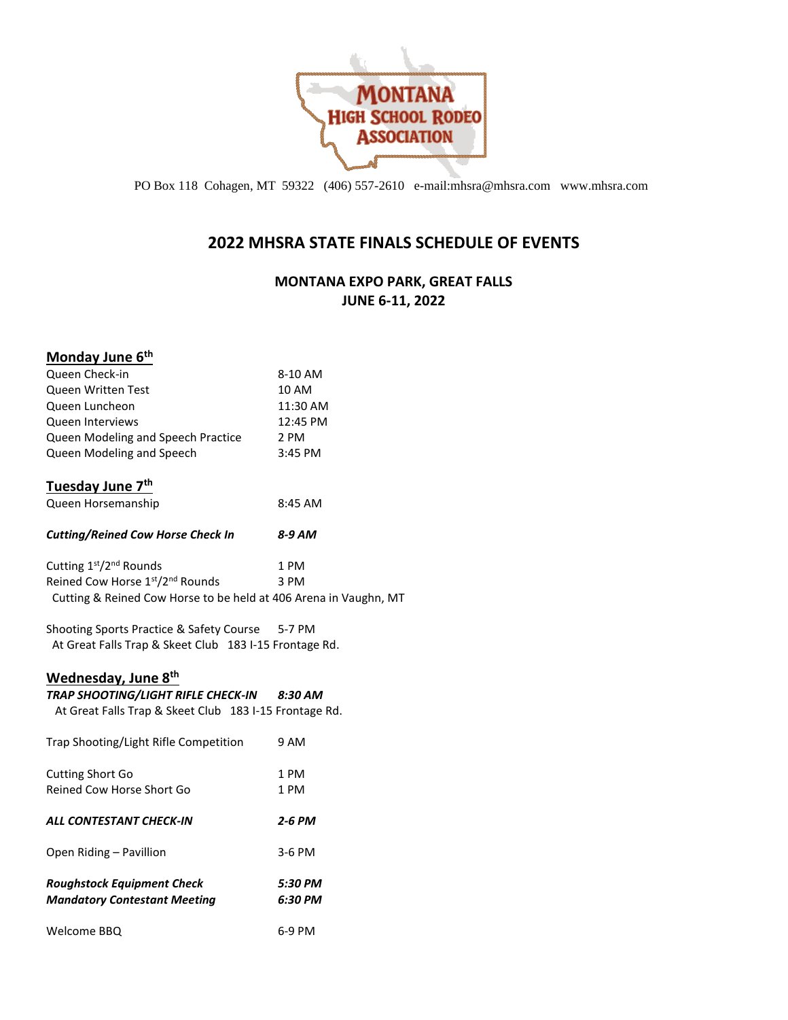

PO Box 118 Cohagen, MT 59322 (406) 557-2610 e-mail:mhsra@mhsra.com www.mhsra.com

## **2022 MHSRA STATE FINALS SCHEDULE OF EVENTS**

### **MONTANA EXPO PARK, GREAT FALLS JUNE 6-11, 2022**

| Monday June 6 <sup>th</sup>                                      |          |
|------------------------------------------------------------------|----------|
| Queen Check-in                                                   | 8-10 AM  |
| Queen Written Test                                               | 10 AM    |
| Queen Luncheon                                                   | 11:30 AM |
| Queen Interviews                                                 | 12:45 PM |
| Queen Modeling and Speech Practice                               | 2 PM     |
| Queen Modeling and Speech                                        | 3:45 PM  |
| <u>Tuesday June 7<sup>th</sup></u>                               |          |
| Queen Horsemanship                                               | 8:45 AM  |
| <b>Cutting/Reined Cow Horse Check In</b>                         | 8-9 AM   |
| Cutting 1 <sup>st</sup> /2 <sup>nd</sup> Rounds                  | 1 PM     |
| Reined Cow Horse 1st/2nd Rounds                                  | 3 PM     |
| Cutting & Reined Cow Horse to be held at 406 Arena in Vaughn, MT |          |
| Shooting Sports Practice & Safety Course 5-7 PM                  |          |
| At Great Falls Trap & Skeet Club 183 I-15 Frontage Rd.           |          |
| Wednesday, June 8th                                              |          |
| TRAP SHOOTING/LIGHT RIFLE CHECK-IN 8:30 AM                       |          |
| At Great Falls Trap & Skeet Club 183 I-15 Frontage Rd.           |          |
| Trap Shooting/Light Rifle Competition                            | 9 AM     |
| <b>Cutting Short Go</b>                                          | 1 PM     |
| Reined Cow Horse Short Go                                        | 1 PM     |
| ALL CONTESTANT CHECK-IN                                          | 2-6 PM   |
| Open Riding - Pavillion                                          | 3-6 PM   |
| <b>Roughstock Equipment Check</b>                                | 5:30 PM  |
| <b>Mandatory Contestant Meeting</b>                              | 6:30 PM  |
| Welcome BBQ                                                      | 6-9 PM   |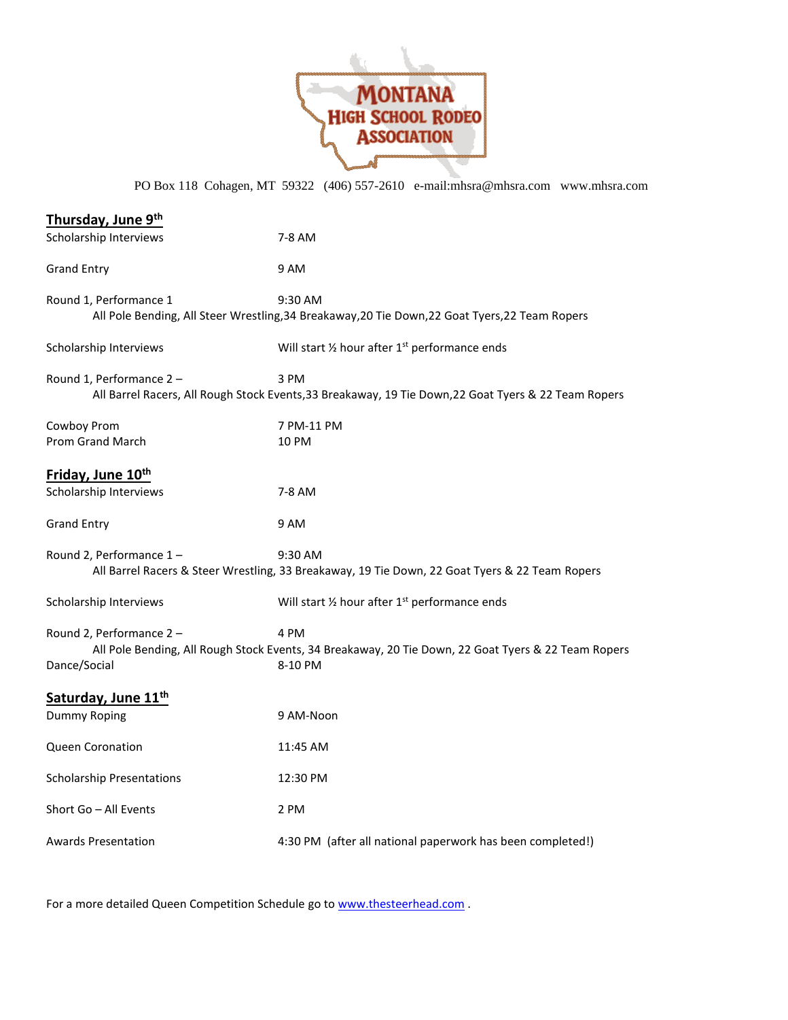

PO Box 118 Cohagen, MT 59322 (406) 557-2610 e-mail:mhsra@mhsra.com www.mhsra.com

| Thursday, June 9th                      |                                                                                                                        |
|-----------------------------------------|------------------------------------------------------------------------------------------------------------------------|
| Scholarship Interviews                  | 7-8 AM                                                                                                                 |
| <b>Grand Entry</b>                      | 9 AM                                                                                                                   |
| Round 1, Performance 1                  | 9:30 AM<br>All Pole Bending, All Steer Wrestling, 34 Breakaway, 20 Tie Down, 22 Goat Tyers, 22 Team Ropers             |
| Scholarship Interviews                  | Will start 1/2 hour after 1 <sup>st</sup> performance ends                                                             |
| Round 1, Performance 2-                 | 3 PM<br>All Barrel Racers, All Rough Stock Events, 33 Breakaway, 19 Tie Down, 22 Goat Tyers & 22 Team Ropers           |
| Cowboy Prom<br>Prom Grand March         | 7 PM-11 PM<br>10 PM                                                                                                    |
| Friday, June 10 <sup>th</sup>           |                                                                                                                        |
| Scholarship Interviews                  | 7-8 AM                                                                                                                 |
| <b>Grand Entry</b>                      | 9 AM                                                                                                                   |
| Round 2, Performance 1-                 | 9:30 AM<br>All Barrel Racers & Steer Wrestling, 33 Breakaway, 19 Tie Down, 22 Goat Tyers & 22 Team Ropers              |
| Scholarship Interviews                  | Will start 1/2 hour after 1 <sup>st</sup> performance ends                                                             |
| Round 2, Performance 2-<br>Dance/Social | 4 PM<br>All Pole Bending, All Rough Stock Events, 34 Breakaway, 20 Tie Down, 22 Goat Tyers & 22 Team Ropers<br>8-10 PM |
| Saturday, June 11 <sup>th</sup>         |                                                                                                                        |
| Dummy Roping                            | 9 AM-Noon                                                                                                              |
| Queen Coronation                        | 11:45 AM                                                                                                               |
| <b>Scholarship Presentations</b>        | 12:30 PM                                                                                                               |
| Short Go - All Events                   | 2 PM                                                                                                                   |
| Awards Presentation                     | 4:30 PM (after all national paperwork has been completed!)                                                             |

For a more detailed Queen Competition Schedule go to **www.thesteerhead.com** .